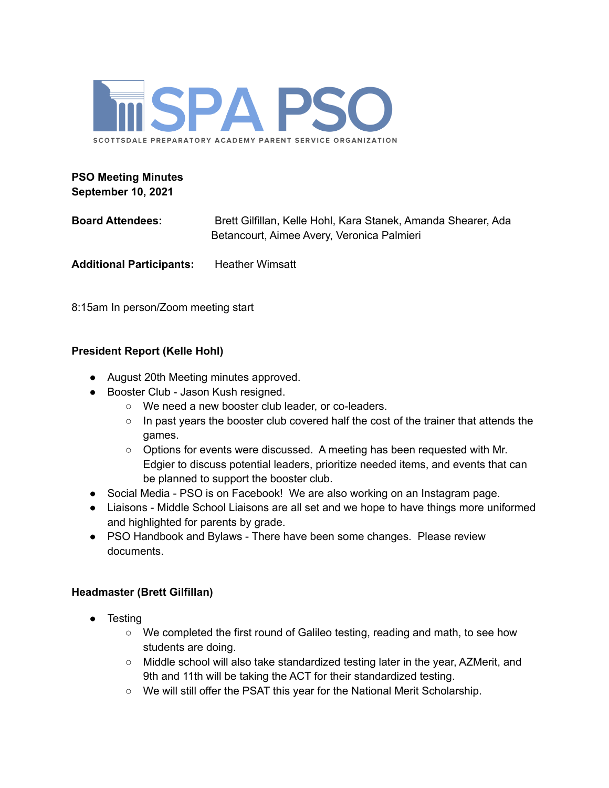

# **PSO Meeting Minutes September 10, 2021**

**Board Attendees:** Brett Gilfillan, Kelle Hohl, Kara Stanek, Amanda Shearer, Ada Betancourt, Aimee Avery, Veronica Palmieri

**Additional Participants:** Heather Wimsatt

8:15am In person/Zoom meeting start

## **President Report (Kelle Hohl)**

- August 20th Meeting minutes approved.
- Booster Club Jason Kush resigned.
	- We need a new booster club leader, or co-leaders.
	- In past years the booster club covered half the cost of the trainer that attends the games.
	- $\circ$  Options for events were discussed. A meeting has been requested with Mr. Edgier to discuss potential leaders, prioritize needed items, and events that can be planned to support the booster club.
- Social Media PSO is on Facebook! We are also working on an Instagram page.
- Liaisons Middle School Liaisons are all set and we hope to have things more uniformed and highlighted for parents by grade.
- PSO Handbook and Bylaws There have been some changes. Please review documents.

### **Headmaster (Brett Gilfillan)**

- Testing
	- We completed the first round of Galileo testing, reading and math, to see how students are doing.
	- Middle school will also take standardized testing later in the year, AZMerit, and 9th and 11th will be taking the ACT for their standardized testing.
	- We will still offer the PSAT this year for the National Merit Scholarship.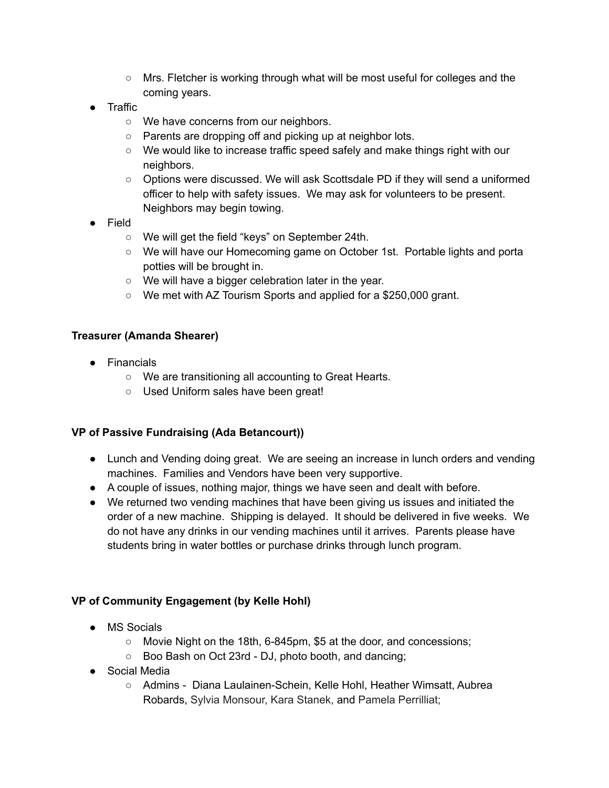- Mrs. Fletcher is working through what will be most useful for colleges and the coming years.
- Traffic
	- We have concerns from our neighbors.
	- Parents are dropping off and picking up at neighbor lots.
	- We would like to increase traffic speed safely and make things right with our neighbors.
	- Options were discussed. We will ask Scottsdale PD if they will send a uniformed officer to help with safety issues. We may ask for volunteers to be present. Neighbors may begin towing.
- Field
	- We will get the field "keys" on September 24th.
	- We will have our Homecoming game on October 1st. Portable lights and porta potties will be brought in.
	- We will have a bigger celebration later in the year.
	- We met with AZ Tourism Sports and applied for a \$250,000 grant.

## **Treasurer (Amanda Shearer)**

- Financials
	- We are transitioning all accounting to Great Hearts.
	- Used Uniform sales have been great!

### **VP of Passive Fundraising (Ada Betancourt))**

- Lunch and Vending doing great. We are seeing an increase in lunch orders and vending machines. Families and Vendors have been very supportive.
- A couple of issues, nothing major, things we have seen and dealt with before.
- We returned two vending machines that have been giving us issues and initiated the order of a new machine. Shipping is delayed. It should be delivered in five weeks. We do not have any drinks in our vending machines until it arrives. Parents please have students bring in water bottles or purchase drinks through lunch program.

### **VP of Community Engagement (by Kelle Hohl)**

- MS Socials
	- Movie Night on the 18th, 6-845pm, \$5 at the door, and concessions;
	- Boo Bash on Oct 23rd DJ, photo booth, and dancing;
- Social Media
	- Admins Diana Laulainen-Schein, Kelle Hohl, Heather Wimsatt, Aubrea Robards, Sylvia Monsour, Kara Stanek, and Pamela Perrilliat;